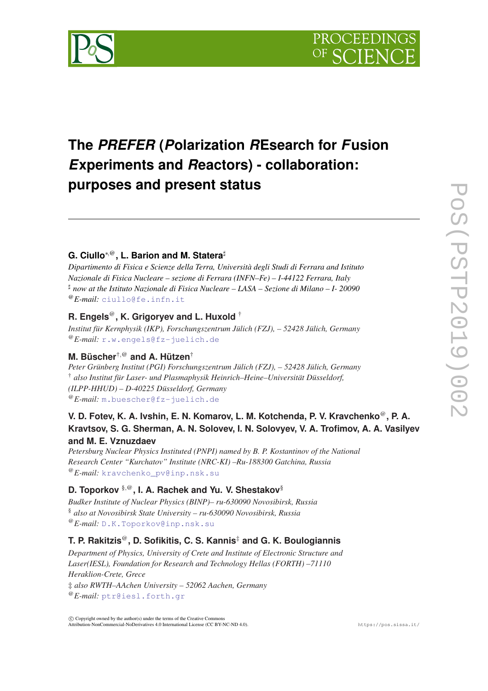

# **The** *PREFER* **(***P***olarization** *R***Esearch for** *F***usion** *E***xperiments and** *R***eactors) - collaboration: purposes and present status**

# **G. Ciullo**⇤*,*@**, L. Barion and M. Statera**]

*Dipartimento di Fisica e Scienze della Terra, Università degli Studi di Ferrara and Istituto Nazionale di Fisica Nucleare – sezione di Ferrara (INFN–Fe) – I-44122 Ferrara, Italy* ] *now at the Istituto Nazionale di Fisica Nucleare – LASA – Sezione di Milano – I- 20090* @*E-mail:* ciullo@fe.infn.it

# **R. Engels**@**, K. Grigoryev and L. Huxold** †

*Institut für Kernphysik (IKP), Forschungszentrum Jülich (FZJ), – 52428 Jülich, Germany* @*E-mail:* r.w.engels@fz-juelich.de

# **M. Büscher**†*,*@ **and A. Hützen**†

*Peter Grünberg Institut (PGI) Forschungszentrum Jülich (FZJ), – 52428 Jülich, Germany* † *also Institut für Laser- und Plasmaphysik Heinrich–Heine–Universität Düsseldorf, (ILPP-HHUD) – D-40225 Düsseldorf, Germany* @*E-mail:* m.buescher@fz-juelich.de

# **V. D. Fotev, K. A. Ivshin, E. N. Komarov, L. M. Kotchenda, P. V. Kravchenko**@**, P. A. Kravtsov, S. G. Sherman, A. N. Solovev, I. N. Solovyev, V. A. Trofimov, A. A. Vasilyev and M. E. Vznuzdaev**

*Petersburg Nuclear Physics Instituted (PNPI) named by B. P. Kostantinov of the National Research Center "Kurchatov" Institute (NRC-KI) –Ru-188300 Gatchina, Russia* @*E-mail:* kravchenko\_pv@inp.nsk.su

# **D. Toporkov** §*,*@**, I. A. Rachek and Yu. V. Shestakov**§

*Budker Institute of Nuclear Physics (BINP)– ru-630090 Novosibirsk, Russia* § *also at Novosibirsk State University – ru-630090 Novosibirsk, Russia* @*E-mail:* D.K.Toporkov@inp.nsk.su

# **T. P. Rakitzis**@**, D. Sofikitis, C. S. Kannis**‡ **and G. K. Boulogiannis**

*Department of Physics, University of Crete and Institute of Electronic Structure and Laser(IESL), Foundation for Research and Technology Hellas (FORTH) –71110 Heraklion-Crete, Grece* ‡ *also RWTH–AAchen University – 52062 Aachen, Germany* @*E-mail:* ptr@iesl.forth.gr

 $\circ$  Convright owned by the author(s) under the terms of the Creative Common Attribution-NonCommercial-NoDerivatives 4.0 International License (CC BY-NC-ND 4.0). https://pos.sissa.it/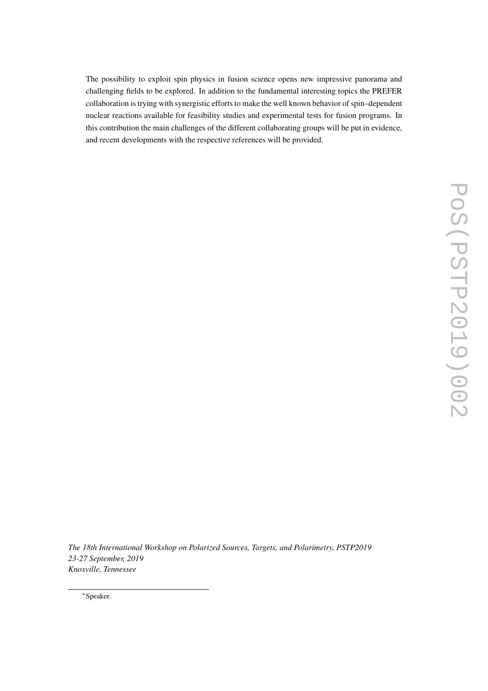The possibility to exploit spin physics in fusion science opens new impressive panorama and challenging fields to be explored. In addition to the fundamental interesting topics the PREFER collaboration is trying with synergistic efforts to make the well known behavior of spin–dependent nuclear reactions available for feasibility studies and experimental tests for fusion programs. In this contribution the main challenges of the different collaborating groups will be put in evidence, and recent developments with the respective references will be provided.

*The 18th International Workshop on Polarized Sources, Targets, and Polarimetry, PSTP2019 23-27 September, 2019 Knoxville, Tennessee*

⇤Speaker.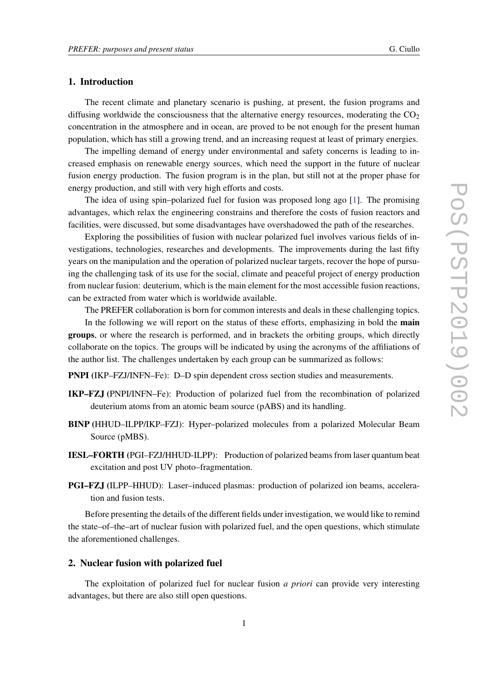### 1. Introduction

The recent climate and planetary scenario is pushing, at present, the fusion programs and diffusing worldwide the consciousness that the alternative energy resources, moderating the  $CO<sub>2</sub>$ concentration in the atmosphere and in ocean, are proved to be not enough for the present human population, which has still a growing trend, and an increasing request at least of primary energies.

The impelling demand of energy under environmental and safety concerns is leading to increased emphasis on renewable energy sources, which need the support in the future of nuclear fusion energy production. The fusion program is in the plan, but still not at the proper phase for energy production, and still with very high efforts and costs.

The idea of using spin–polarized fuel for fusion was proposed long ago [1]. The promising advantages, which relax the engineering constrains and therefore the costs of fusion reactors and facilities, were discussed, but some disadvantages have overshadowed the path of the researches.

Exploring the possibilities of fusion with nuclear polarized fuel involves various fields of investigations, technologies, researches and developments. The improvements during the last fifty years on the manipulation and the operation of polarized nuclear targets, recover the hope of pursuing the challenging task of its use for the social, climate and peaceful project of energy production from nuclear fusion: deuterium, which is the main element for the most accessible fusion reactions, can be extracted from water which is worldwide available.

The PREFER collaboration is born for common interests and deals in these challenging topics. In the following we will report on the status of these efforts, emphasizing in bold the **main** groups, or where the research is performed, and in brackets the orbiting groups, which directly

collaborate on the topics. The groups will be indicated by using the acronyms of the affiliations of the author list. The challenges undertaken by each group can be summarized as follows:

PNPI (IKP–FZJ/INFN–Fe): D–D spin dependent cross section studies and measurements.

- IKP–FZJ (PNPI/INFN–Fe): Production of polarized fuel from the recombination of polarized deuterium atoms from an atomic beam source (pABS) and its handling.
- BINP (HHUD–ILPP/IKP–FZJ): Hyper–polarized molecules from a polarized Molecular Beam Source (pMBS).
- IESL–FORTH (PGI–FZJ/HHUD-ILPP): Production of polarized beams from laser quantum beat excitation and post UV photo–fragmentation.
- PGI–FZJ (ILPP–HHUD): Laser–induced plasmas: production of polarized ion beams, acceleration and fusion tests.

Before presenting the details of the different fields under investigation, we would like to remind the state–of–the–art of nuclear fusion with polarized fuel, and the open questions, which stimulate the aforementioned challenges.

#### 2. Nuclear fusion with polarized fuel

The exploitation of polarized fuel for nuclear fusion *a priori* can provide very interesting advantages, but there are also still open questions.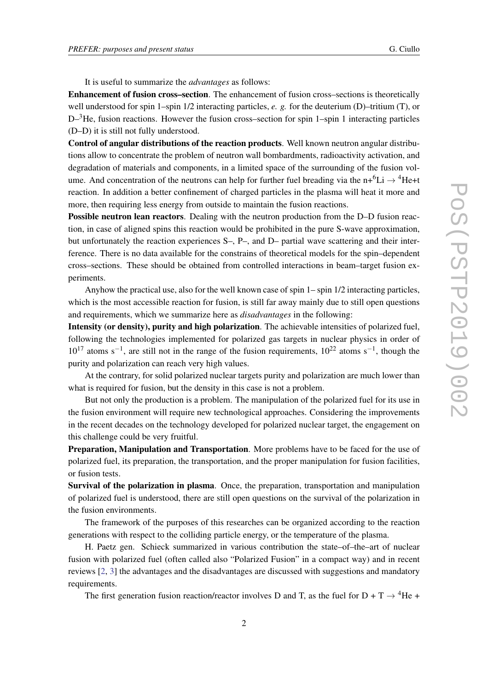It is useful to summarize the *advantages* as follows:

Enhancement of fusion cross–section. The enhancement of fusion cross–sections is theoretically well understood for spin 1–spin 1/2 interacting particles, *e. g.* for the deuterium (D)–tritium (T), or  $D^{-3}$ He, fusion reactions. However the fusion cross–section for spin 1–spin 1 interacting particles (D–D) it is still not fully understood.

Control of angular distributions of the reaction products. Well known neutron angular distributions allow to concentrate the problem of neutron wall bombardments, radioactivity activation, and degradation of materials and components, in a limited space of the surrounding of the fusion volume. And concentration of the neutrons can help for further fuel breading via the n+ ${}^{6}Li \rightarrow {}^{4}He+t$ reaction. In addition a better confinement of charged particles in the plasma will heat it more and more, then requiring less energy from outside to maintain the fusion reactions.

Possible neutron lean reactors. Dealing with the neutron production from the D–D fusion reaction, in case of aligned spins this reaction would be prohibited in the pure S-wave approximation, but unfortunately the reaction experiences S–, P–, and D– partial wave scattering and their interference. There is no data available for the constrains of theoretical models for the spin–dependent cross–sections. These should be obtained from controlled interactions in beam–target fusion experiments.

Anyhow the practical use, also for the well known case of spin 1– spin 1/2 interacting particles, which is the most accessible reaction for fusion, is still far away mainly due to still open questions and requirements, which we summarize here as *disadvantages* in the following:

Intensity (or density), purity and high polarization. The achievable intensities of polarized fuel, following the technologies implemented for polarized gas targets in nuclear physics in order of  $10^{17}$  atoms s<sup>-1</sup>, are still not in the range of the fusion requirements,  $10^{22}$  atoms s<sup>-1</sup>, though the purity and polarization can reach very high values.

At the contrary, for solid polarized nuclear targets purity and polarization are much lower than what is required for fusion, but the density in this case is not a problem.

But not only the production is a problem. The manipulation of the polarized fuel for its use in the fusion environment will require new technological approaches. Considering the improvements in the recent decades on the technology developed for polarized nuclear target, the engagement on this challenge could be very fruitful.

Preparation, Manipulation and Transportation. More problems have to be faced for the use of polarized fuel, its preparation, the transportation, and the proper manipulation for fusion facilities, or fusion tests.

Survival of the polarization in plasma. Once, the preparation, transportation and manipulation of polarized fuel is understood, there are still open questions on the survival of the polarization in the fusion environments.

The framework of the purposes of this researches can be organized according to the reaction generations with respect to the colliding particle energy, or the temperature of the plasma.

H. Paetz gen. Schieck summarized in various contribution the state–of–the–art of nuclear fusion with polarized fuel (often called also "Polarized Fusion" in a compact way) and in recent reviews [2, 3] the advantages and the disadvantages are discussed with suggestions and mandatory requirements.

The first generation fusion reaction/reactor involves D and T, as the fuel for D + T  $\rightarrow$  <sup>4</sup>He +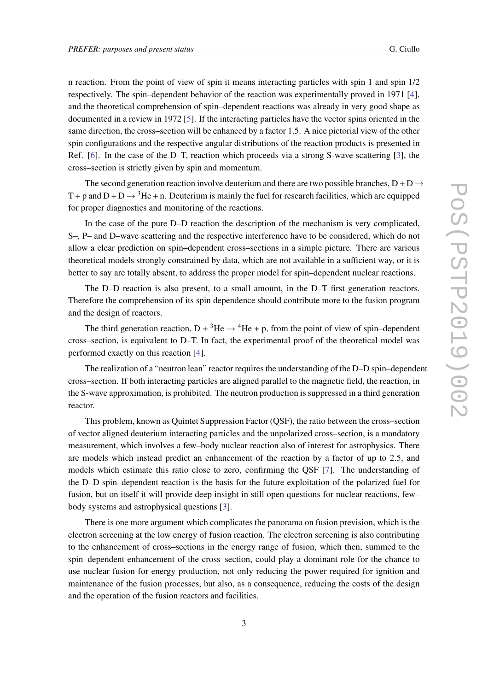n reaction. From the point of view of spin it means interacting particles with spin 1 and spin 1/2 respectively. The spin–dependent behavior of the reaction was experimentally proved in 1971 [4], and the theoretical comprehension of spin–dependent reactions was already in very good shape as documented in a review in 1972 [5]. If the interacting particles have the vector spins oriented in the same direction, the cross–section will be enhanced by a factor 1.5. A nice pictorial view of the other spin configurations and the respective angular distributions of the reaction products is presented in Ref. [6]. In the case of the D–T, reaction which proceeds via a strong S-wave scattering [3], the cross–section is strictly given by spin and momentum.

The second generation reaction involve deuterium and there are two possible branches,  $D + D \rightarrow$ T + p and D + D  $\rightarrow$  <sup>3</sup>He + n. Deuterium is mainly the fuel for research facilities, which are equipped for proper diagnostics and monitoring of the reactions.

In the case of the pure D–D reaction the description of the mechanism is very complicated, S–, P– and D–wave scattering and the respective interference have to be considered, which do not allow a clear prediction on spin–dependent cross–sections in a simple picture. There are various theoretical models strongly constrained by data, which are not available in a sufficient way, or it is better to say are totally absent, to address the proper model for spin–dependent nuclear reactions.

The D–D reaction is also present, to a small amount, in the D–T first generation reactors. Therefore the comprehension of its spin dependence should contribute more to the fusion program and the design of reactors.

The third generation reaction,  $D + {}^{3}He \rightarrow {}^{4}He + p$ , from the point of view of spin–dependent cross–section, is equivalent to D–T. In fact, the experimental proof of the theoretical model was performed exactly on this reaction [4].

The realization of a "neutron lean" reactor requires the understanding of the D–D spin–dependent cross–section. If both interacting particles are aligned parallel to the magnetic field, the reaction, in the S-wave approximation, is prohibited. The neutron production is suppressed in a third generation reactor.

This problem, known as Quintet Suppression Factor (QSF), the ratio between the cross–section of vector aligned deuterium interacting particles and the unpolarized cross–section, is a mandatory measurement, which involves a few–body nuclear reaction also of interest for astrophysics. There are models which instead predict an enhancement of the reaction by a factor of up to 2.5, and models which estimate this ratio close to zero, confirming the QSF [7]. The understanding of the D–D spin–dependent reaction is the basis for the future exploitation of the polarized fuel for fusion, but on itself it will provide deep insight in still open questions for nuclear reactions, few– body systems and astrophysical questions [3].

There is one more argument which complicates the panorama on fusion prevision, which is the electron screening at the low energy of fusion reaction. The electron screening is also contributing to the enhancement of cross–sections in the energy range of fusion, which then, summed to the spin–dependent enhancement of the cross–section, could play a dominant role for the chance to use nuclear fusion for energy production, not only reducing the power required for ignition and maintenance of the fusion processes, but also, as a consequence, reducing the costs of the design and the operation of the fusion reactors and facilities.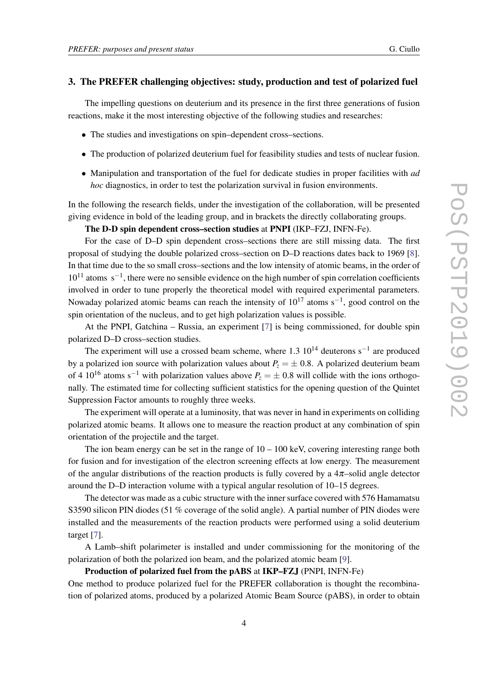#### 3. The PREFER challenging objectives: study, production and test of polarized fuel

The impelling questions on deuterium and its presence in the first three generations of fusion reactions, make it the most interesting objective of the following studies and researches:

- *•* The studies and investigations on spin–dependent cross–sections.
- The production of polarized deuterium fuel for feasibility studies and tests of nuclear fusion.
- *•* Manipulation and transportation of the fuel for dedicate studies in proper facilities with *ad hoc* diagnostics, in order to test the polarization survival in fusion environments.

In the following the research fields, under the investigation of the collaboration, will be presented giving evidence in bold of the leading group, and in brackets the directly collaborating groups.

#### The D-D spin dependent cross–section studies at PNPI (IKP–FZJ, INFN-Fe).

For the case of D–D spin dependent cross–sections there are still missing data. The first proposal of studying the double polarized cross–section on D–D reactions dates back to 1969 [8]. In that time due to the so small cross–sections and the low intensity of atomic beams, in the order of  $10^{11}$  atoms  $s^{-1}$ , there were no sensible evidence on the high number of spin correlation coefficients involved in order to tune properly the theoretical model with required experimental parameters. Nowaday polarized atomic beams can reach the intensity of  $10^{17}$  atoms s<sup>-1</sup>, good control on the spin orientation of the nucleus, and to get high polarization values is possible.

At the PNPI, Gatchina – Russia, an experiment [7] is being commissioned, for double spin polarized D–D cross–section studies.

The experiment will use a crossed beam scheme, where  $1.3 \times 10^{14}$  deuterons s<sup>-1</sup> are produced by a polarized ion source with polarization values about  $P<sub>z</sub> = \pm 0.8$ . A polarized deuterium beam of 4 10<sup>16</sup> atoms s<sup>-1</sup> with polarization values above  $P_z = \pm 0.8$  will collide with the ions orthogonally. The estimated time for collecting sufficient statistics for the opening question of the Quintet Suppression Factor amounts to roughly three weeks.

The experiment will operate at a luminosity, that was never in hand in experiments on colliding polarized atomic beams. It allows one to measure the reaction product at any combination of spin orientation of the projectile and the target.

The ion beam energy can be set in the range of  $10 - 100$  keV, covering interesting range both for fusion and for investigation of the electron screening effects at low energy. The measurement of the angular distributions of the reaction products is fully covered by a  $4\pi$ –solid angle detector around the D–D interaction volume with a typical angular resolution of 10–15 degrees.

The detector was made as a cubic structure with the inner surface covered with 576 Hamamatsu S3590 silicon PIN diodes (51 % coverage of the solid angle). A partial number of PIN diodes were installed and the measurements of the reaction products were performed using a solid deuterium target [7].

A Lamb–shift polarimeter is installed and under commissioning for the monitoring of the polarization of both the polarized ion beam, and the polarized atomic beam [9].

#### Production of polarized fuel from the pABS at IKP–FZJ (PNPI, INFN-Fe)

One method to produce polarized fuel for the PREFER collaboration is thought the recombination of polarized atoms, produced by a polarized Atomic Beam Source (pABS), in order to obtain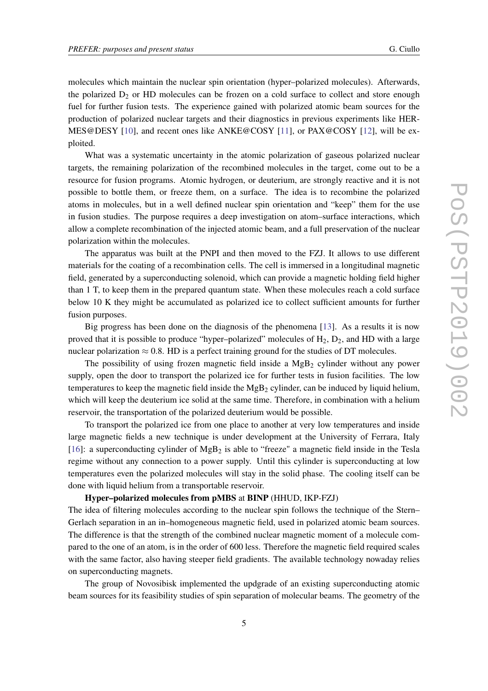molecules which maintain the nuclear spin orientation (hyper–polarized molecules). Afterwards, the polarized  $D_2$  or HD molecules can be frozen on a cold surface to collect and store enough fuel for further fusion tests. The experience gained with polarized atomic beam sources for the production of polarized nuclear targets and their diagnostics in previous experiments like HER-MES@DESY [10], and recent ones like ANKE@COSY [11], or PAX@COSY [12], will be exploited.

What was a systematic uncertainty in the atomic polarization of gaseous polarized nuclear targets, the remaining polarization of the recombined molecules in the target, come out to be a resource for fusion programs. Atomic hydrogen, or deuterium, are strongly reactive and it is not possible to bottle them, or freeze them, on a surface. The idea is to recombine the polarized atoms in molecules, but in a well defined nuclear spin orientation and "keep" them for the use in fusion studies. The purpose requires a deep investigation on atom–surface interactions, which allow a complete recombination of the injected atomic beam, and a full preservation of the nuclear polarization within the molecules.

The apparatus was built at the PNPI and then moved to the FZJ. It allows to use different materials for the coating of a recombination cells. The cell is immersed in a longitudinal magnetic field, generated by a superconducting solenoid, which can provide a magnetic holding field higher than 1 T, to keep them in the prepared quantum state. When these molecules reach a cold surface below 10 K they might be accumulated as polarized ice to collect sufficient amounts for further fusion purposes.

Big progress has been done on the diagnosis of the phenomena [13]. As a results it is now proved that it is possible to produce "hyper-polarized" molecules of  $H_2$ ,  $D_2$ , and HD with a large nuclear polarization  $\approx 0.8$ . HD is a perfect training ground for the studies of DT molecules.

The possibility of using frozen magnetic field inside a  $MgB<sub>2</sub>$  cylinder without any power supply, open the door to transport the polarized ice for further tests in fusion facilities. The low temperatures to keep the magnetic field inside the  $MgB<sub>2</sub>$  cylinder, can be induced by liquid helium, which will keep the deuterium ice solid at the same time. Therefore, in combination with a helium reservoir, the transportation of the polarized deuterium would be possible.

To transport the polarized ice from one place to another at very low temperatures and inside large magnetic fields a new technique is under development at the University of Ferrara, Italy [16]: a superconducting cylinder of  $MgB<sub>2</sub>$  is able to "freeze" a magnetic field inside in the Tesla regime without any connection to a power supply. Until this cylinder is superconducting at low temperatures even the polarized molecules will stay in the solid phase. The cooling itself can be done with liquid helium from a transportable reservoir.

#### Hyper–polarized molecules from pMBS at BINP (HHUD, IKP-FZJ)

The idea of filtering molecules according to the nuclear spin follows the technique of the Stern– Gerlach separation in an in–homogeneous magnetic field, used in polarized atomic beam sources. The difference is that the strength of the combined nuclear magnetic moment of a molecule compared to the one of an atom, is in the order of 600 less. Therefore the magnetic field required scales with the same factor, also having steeper field gradients. The available technology nowaday relies on superconducting magnets.

The group of Novosibisk implemented the updgrade of an existing superconducting atomic beam sources for its feasibility studies of spin separation of molecular beams. The geometry of the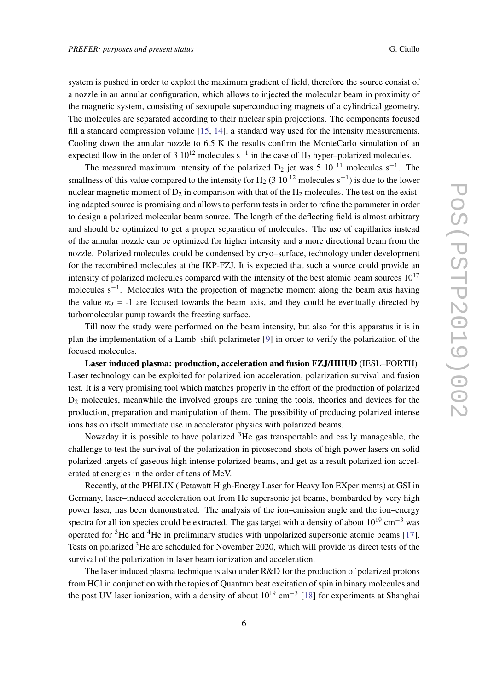system is pushed in order to exploit the maximum gradient of field, therefore the source consist of a nozzle in an annular configuration, which allows to injected the molecular beam in proximity of the magnetic system, consisting of sextupole superconducting magnets of a cylindrical geometry. The molecules are separated according to their nuclear spin projections. The components focused fill a standard compression volume [15, 14], a standard way used for the intensity measurements. Cooling down the annular nozzle to 6.5 K the results confirm the MonteCarlo simulation of an expected flow in the order of 3  $10^{12}$  molecules s<sup>-1</sup> in the case of H<sub>2</sub> hyper–polarized molecules.

The measured maximum intensity of the polarized  $D_2$  jet was 5 10<sup>-11</sup> molecules s<sup>-1</sup>. The smallness of this value compared to the intensity for H<sub>2</sub> (3 10<sup>12</sup> molecules s<sup>-1</sup>) is due to the lower nuclear magnetic moment of  $D_2$  in comparison with that of the  $H_2$  molecules. The test on the existing adapted source is promising and allows to perform tests in order to refine the parameter in order to design a polarized molecular beam source. The length of the deflecting field is almost arbitrary and should be optimized to get a proper separation of molecules. The use of capillaries instead of the annular nozzle can be optimized for higher intensity and a more directional beam from the nozzle. Polarized molecules could be condensed by cryo–surface, technology under development for the recombined molecules at the IKP-FZJ. It is expected that such a source could provide an intensity of polarized molecules compared with the intensity of the best atomic beam sources  $10^{17}$ molecules  $s^{-1}$ . Molecules with the projection of magnetic moment along the beam axis having the value  $m<sub>I</sub> = -1$  are focused towards the beam axis, and they could be eventually directed by turbomolecular pump towards the freezing surface.

Till now the study were performed on the beam intensity, but also for this apparatus it is in plan the implementation of a Lamb–shift polarimeter [9] in order to verify the polarization of the focused molecules.

Laser induced plasma: production, acceleration and fusion FZJ/HHUD (IESL–FORTH) Laser technology can be exploited for polarized ion acceleration, polarization survival and fusion test. It is a very promising tool which matches properly in the effort of the production of polarized  $D<sub>2</sub>$  molecules, meanwhile the involved groups are tuning the tools, theories and devices for the production, preparation and manipulation of them. The possibility of producing polarized intense ions has on itself immediate use in accelerator physics with polarized beams.

Nowaday it is possible to have polarized  ${}^{3}$ He gas transportable and easily manageable, the challenge to test the survival of the polarization in picosecond shots of high power lasers on solid polarized targets of gaseous high intense polarized beams, and get as a result polarized ion accelerated at energies in the order of tens of MeV.

Recently, at the PHELIX ( Petawatt High-Energy Laser for Heavy Ion EXperiments) at GSI in Germany, laser–induced acceleration out from He supersonic jet beams, bombarded by very high power laser, has been demonstrated. The analysis of the ion–emission angle and the ion–energy spectra for all ion species could be extracted. The gas target with a density of about  $10^{19}$  cm<sup>-3</sup> was operated for <sup>3</sup>He and <sup>4</sup>He in preliminary studies with unpolarized supersonic atomic beams [17]. Tests on polarized <sup>3</sup>He are scheduled for November 2020, which will provide us direct tests of the survival of the polarization in laser beam ionization and acceleration.

The laser induced plasma technique is also under R&D for the production of polarized protons from HCl in conjunction with the topics of Quantum beat excitation of spin in binary molecules and the post UV laser ionization, with a density of about  $10^{19}$  cm<sup>-3</sup> [18] for experiments at Shanghai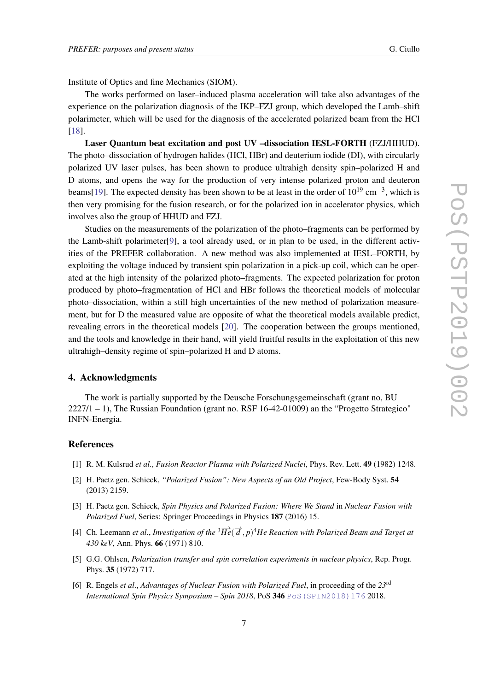Institute of Optics and fine Mechanics (SIOM).

The works performed on laser–induced plasma acceleration will take also advantages of the experience on the polarization diagnosis of the IKP–FZJ group, which developed the Lamb–shift polarimeter, which will be used for the diagnosis of the accelerated polarized beam from the HCl [18].

Laser Quantum beat excitation and post UV –dissociation IESL-FORTH (FZJ/HHUD). The photo–dissociation of hydrogen halides (HCl, HBr) and deuterium iodide (DI), with circularly polarized UV laser pulses, has been shown to produce ultrahigh density spin–polarized H and D atoms, and opens the way for the production of very intense polarized proton and deuteron beams[19]. The expected density has been shown to be at least in the order of  $10^{19}$  cm<sup>-3</sup>, which is then very promising for the fusion research, or for the polarized ion in accelerator physics, which involves also the group of HHUD and FZJ.

Studies on the measurements of the polarization of the photo–fragments can be performed by the Lamb-shift polarimeter[9], a tool already used, or in plan to be used, in the different activities of the PREFER collaboration. A new method was also implemented at IESL–FORTH, by exploiting the voltage induced by transient spin polarization in a pick-up coil, which can be operated at the high intensity of the polarized photo–fragments. The expected polarization for proton produced by photo–fragmentation of HCl and HBr follows the theoretical models of molecular photo–dissociation, within a still high uncertainties of the new method of polarization measurement, but for D the measured value are opposite of what the theoretical models available predict, revealing errors in the theoretical models [20]. The cooperation between the groups mentioned, and the tools and knowledge in their hand, will yield fruitful results in the exploitation of this new ultrahigh–density regime of spin–polarized H and D atoms.

#### 4. Acknowledgments

The work is partially supported by the Deusche Forschungsgemeinschaft (grant no, BU  $2227/1 - 1$ ), The Russian Foundation (grant no. RSF 16-42-01009) an the "Progetto Strategico" INFN-Energia.

#### References

- [1] R. M. Kulsrud *et al*., *Fusion Reactor Plasma with Polarized Nuclei*, Phys. Rev. Lett. 49 (1982) 1248.
- [2] H. Paetz gen. Schieck, *"Polarized Fusion": New Aspects of an Old Project*, Few-Body Syst. 54 (2013) 2159.
- [3] H. Paetz gen. Schieck, *Spin Physics and Polarized Fusion: Where We Stand* in *Nuclear Fusion with Polarized Fuel*, Series: Springer Proceedings in Physics 187 (2016) 15.
- [4] Ch. Leemann *et al., Investigation of the*  ${}^{3}\overrightarrow{He}(\overrightarrow{d}, p)^{4}$ *He Reaction with Polarized Beam and Target at 430 keV*, Ann. Phys. 66 (1971) 810.
- [5] G.G. Ohlsen, *Polarization transfer and spin correlation experiments in nuclear physics*, Rep. Progr. Phys. 35 (1972) 717.
- [6] R. Engels *et al*., *Advantages of Nuclear Fusion with Polarized Fuel*, in proceeding of the *23*rd *International Spin Physics Symposium – Spin 2018*, PoS 346 PoS (SPIN2018)176 2018.